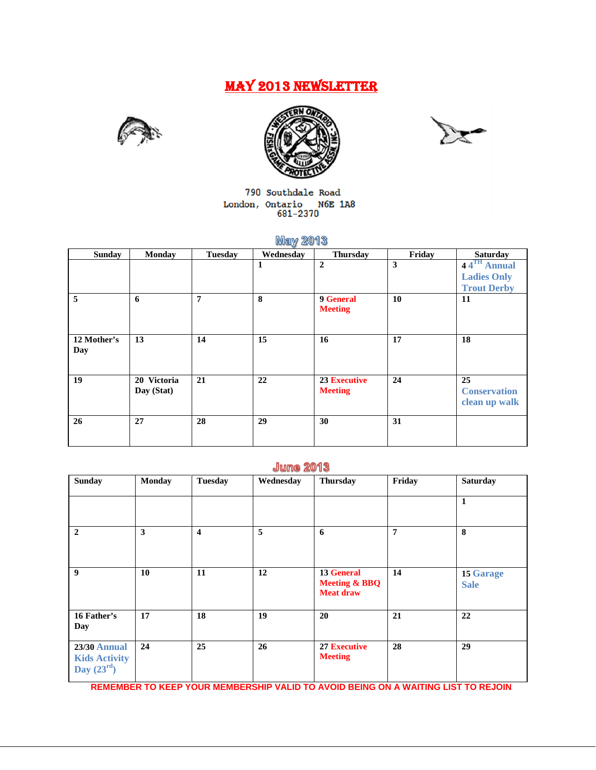# MAY 2013 NEWSLETTER







790 Southdale Road  $\begin{tabular}{ll} London, Ontario & M6E 1A8 \\ & 681-2370 \\ \end{tabular}$ 

# **May 2013**

| <b>Sunday</b> | <b>Monday</b> | <b>Tuesday</b> | Wednesday | Thursday            | Friday | <b>Saturday</b>         |
|---------------|---------------|----------------|-----------|---------------------|--------|-------------------------|
|               |               |                | 1         | $\overline{2}$      | 3      | 44 <sup>TH</sup> Annual |
|               |               |                |           |                     |        | <b>Ladies Only</b>      |
|               |               |                |           |                     |        | <b>Trout Derby</b>      |
| 5             | 6             | 7              | 8         | 9 General           | 10     | 11                      |
|               |               |                |           | <b>Meeting</b>      |        |                         |
|               |               |                |           |                     |        |                         |
| 12 Mother's   | 13            | 14             | 15        | 16                  | 17     | 18                      |
| Day           |               |                |           |                     |        |                         |
|               |               |                |           |                     |        |                         |
|               |               |                |           |                     |        |                         |
| 19            | 20 Victoria   | 21             | 22        | <b>23 Executive</b> | 24     | 25                      |
|               | Day (Stat)    |                |           | <b>Meeting</b>      |        | <b>Conservation</b>     |
|               |               |                |           |                     |        | clean up walk           |
| 26            | 27            | 28             | 29        | 30                  | 31     |                         |
|               |               |                |           |                     |        |                         |
|               |               |                |           |                     |        |                         |

# **June 2013**

| <b>Sunday</b>                                               | <b>Monday</b> | <b>Tuesday</b>          | Wednesday | <b>Thursday</b>                                            | Friday         | <b>Saturday</b>                 |
|-------------------------------------------------------------|---------------|-------------------------|-----------|------------------------------------------------------------|----------------|---------------------------------|
|                                                             |               |                         |           |                                                            |                | 1                               |
| $\overline{2}$                                              | $\mathbf{3}$  | $\overline{\mathbf{4}}$ | 5         | 6                                                          | $\overline{7}$ | 8                               |
| 9                                                           | 10            | 11                      | 12        | 13 General<br><b>Meeting &amp; BBQ</b><br><b>Meat draw</b> | 14             | <b>15 Garage</b><br><b>Sale</b> |
| 16 Father's<br>Day                                          | 17            | 18                      | 19        | 20                                                         | 21             | 22                              |
| <b>23/30 Annual</b><br><b>Kids Activity</b><br>Day $(23rd)$ | 24            | 25                      | 26        | <b>27 Executive</b><br><b>Meeting</b>                      | 28             | 29                              |

**REMEMBER TO KEEP YOUR MEMBERSHIP VALID TO AVOID BEING ON A WAITING LIST TO REJOIN**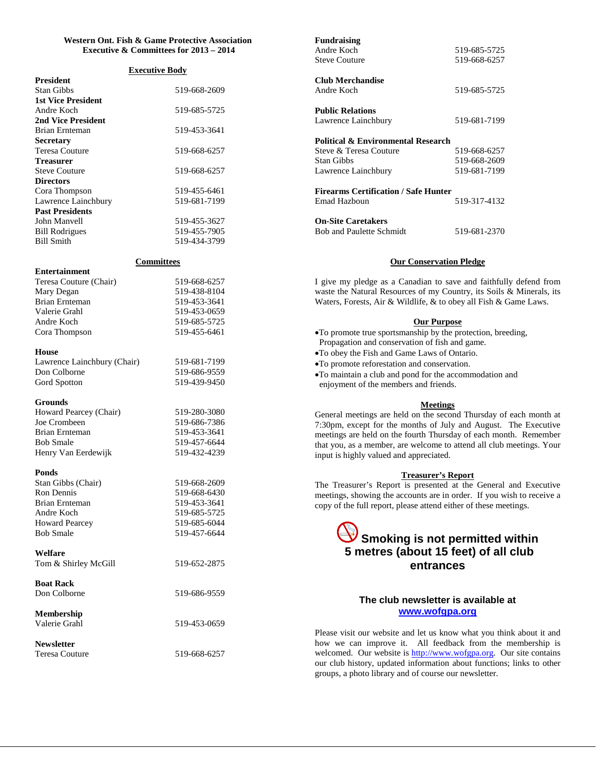## **Western Ont. Fish & Game Protective Association Executive & Committees for 2013 – 2014**

# **Executive Body**

| President                 |              |
|---------------------------|--------------|
| Stan Gibbs                | 519-668-2609 |
| <b>1st Vice President</b> |              |
| Andre Koch                | 519-685-5725 |
| <b>2nd Vice President</b> |              |
| Brian Ernteman            | 519-453-3641 |
| <b>Secretary</b>          |              |
| Teresa Couture            | 519-668-6257 |
| <b>Treasurer</b>          |              |
| <b>Steve Couture</b>      | 519-668-6257 |
| <b>Directors</b>          |              |
| Cora Thompson             | 519-455-6461 |
| Lawrence Lainchbury       | 519-681-7199 |
| <b>Past Presidents</b>    |              |
| John Manvell              | 519-455-3627 |
| <b>Bill Rodrigues</b>     | 519-455-7905 |
| <b>Bill Smith</b>         | 519-434-3799 |
|                           |              |

# **Committees**

| <b>Entertainment</b>   |              |
|------------------------|--------------|
| Teresa Couture (Chair) | 519-668-6257 |
| Mary Degan             | 519-438-8104 |
| <b>Brian Ernteman</b>  | 519-453-3641 |
| Valerie Grahl          | 519-453-0659 |
| Andre Koch             | 519-685-5725 |
| Cora Thompson          | 519-455-6461 |
|                        |              |

#### **House**

| Lawrence Lainchbury (Chair) | 519-681-7199 |
|-----------------------------|--------------|
| Don Colborne                | 519-686-9559 |
| Gord Spotton                | 519-439-9450 |

#### **Grounds**

| 519-280-3080 |
|--------------|
| 519-686-7386 |
| 519-453-3641 |
| 519-457-6644 |
| 519-432-4239 |
|              |

#### **Ponds**

| 519-668-2609 |
|--------------|
| 519-668-6430 |
| 519-453-3641 |
| 519-685-5725 |
| 519-685-6044 |
| 519-457-6644 |
|              |

#### **Welfare**

Tom & Shirley McGill 519-652-2875

| <b>Boat Rack</b> |              |
|------------------|--------------|
| Don Colborne     | 519-686-9559 |

**Membership** Valerie Grahl 519-453-0659

**Newsletter**

Teresa Couture 519-668-6257

| <b>Fundraising</b><br>Andre Koch<br><b>Steve Couture</b> | 519-685-5725<br>519-668-6257 |
|----------------------------------------------------------|------------------------------|
| Club Merchandise<br>Andre Koch                           | 519-685-5725                 |
| <b>Public Relations</b><br>Lawrence Lainchbury           | 519-681-7199                 |
| <b>Political &amp; Environmental Research</b>            |                              |
| Steve & Teresa Couture                                   | 519-668-6257                 |
| Stan Gibbs                                               | 519-668-2609                 |
| Lawrence Lainchbury                                      | 519-681-7199                 |
| <b>Firearms Certification / Safe Hunter</b>              |                              |
| Emad Hazboun                                             | 519-317-4132                 |
| <b>On-Site Caretakers</b>                                |                              |

Bob and Paulette Schmidt 519-681-2370

## **Our Conservation Pledge**

I give my pledge as a Canadian to save and faithfully defend from waste the Natural Resources of my Country, its Soils & Minerals, its Waters, Forests, Air & Wildlife, & to obey all Fish & Game Laws.

#### **Our Purpose**

- •To promote true sportsmanship by the protection, breeding, Propagation and conservation of fish and game.
- •To obey the Fish and Game Laws of Ontario.
- •To promote reforestation and conservation.
- •To maintain a club and pond for the accommodation and enjoyment of the members and friends.

#### **Meetings**

General meetings are held on the second Thursday of each month at 7:30pm, except for the months of July and August. The Executive meetings are held on the fourth Thursday of each month. Remember that you, as a member, are welcome to attend all club meetings. Your input is highly valued and appreciated.

#### **Treasurer's Report**

The Treasurer's Report is presented at the General and Executive meetings, showing the accounts are in order. If you wish to receive a copy of the full report, please attend either of these meetings.

# **Smoking is not permitted within 5 metres (about 15 feet) of all club entrances**

# **The club newsletter is available at www.wofgpa.org**

Please visit our website and let us know what you think about it and how we can improve it. All feedback from the membership is welcomed. Our website is [http://www.wofgpa.org.](http://www.wofgpa.org/) Our site contains our club history, updated information about functions; links to other groups, a photo library and of course our newsletter.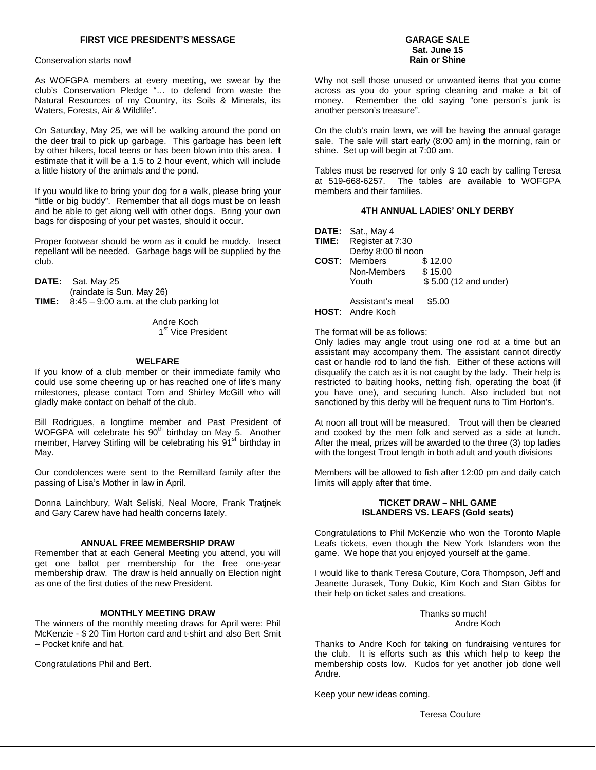Conservation starts now!

As WOFGPA members at every meeting, we swear by the club's Conservation Pledge "… to defend from waste the Natural Resources of my Country, its Soils & Minerals, its Waters, Forests, Air & Wildlife".

On Saturday, May 25, we will be walking around the pond on the deer trail to pick up garbage. This garbage has been left by other hikers, local teens or has been blown into this area. I estimate that it will be a 1.5 to 2 hour event, which will include a little history of the animals and the pond.

If you would like to bring your dog for a walk, please bring your "little or big buddy". Remember that all dogs must be on leash and be able to get along well with other dogs. Bring your own bags for disposing of your pet wastes, should it occur.

Proper footwear should be worn as it could be muddy. Insect repellant will be needed. Garbage bags will be supplied by the club.

**DATE:** Sat. May 25 (raindate is Sun. May 26) **TIME:** 8:45 – 9:00 a.m. at the club parking lot

> Andre Koch 1<sup>st</sup> Vice President

#### **WELFARE**

If you know of a club member or their immediate family who could use some cheering up or has reached one of life's many milestones, please contact Tom and Shirley McGill who will gladly make contact on behalf of the club.

Bill Rodrigues, a longtime member and Past President of WOFGPA will celebrate his 90<sup>th</sup> birthday on May 5. Another member, Harvey Stirling will be celebrating his 91<sup>st</sup> birthday in May.

Our condolences were sent to the Remillard family after the passing of Lisa's Mother in law in April.

Donna Lainchbury, Walt Seliski, Neal Moore, Frank Tratjnek and Gary Carew have had health concerns lately.

# **ANNUAL FREE MEMBERSHIP DRAW**

Remember that at each General Meeting you attend, you will get one ballot per membership for the free one-year membership draw. The draw is held annually on Election night as one of the first duties of the new President.

#### **MONTHLY MEETING DRAW**

The winners of the monthly meeting draws for April were: Phil McKenzie - \$ 20 Tim Horton card and t-shirt and also Bert Smit – Pocket knife and hat.

Congratulations Phil and Bert.

#### **GARAGE SALE Sat. June 15 Rain or Shine**

Why not sell those unused or unwanted items that you come across as you do your spring cleaning and make a bit of money. Remember the old saying "one person's junk is another person's treasure".

On the club's main lawn, we will be having the annual garage sale. The sale will start early (8:00 am) in the morning, rain or shine. Set up will begin at 7:00 am.

Tables must be reserved for only \$ 10 each by calling Teresa at 519-668-6257. The tables are available to WOFGPA members and their families.

# **4TH ANNUAL LADIES' ONLY DERBY**

|       | DATE: Sat., May 4                           |                       |
|-------|---------------------------------------------|-----------------------|
| TIME: | Register at 7:30                            |                       |
|       | Derby 8:00 til noon                         |                       |
| COST: | <b>Members</b>                              | \$12.00               |
|       | Non-Members                                 | \$15.00               |
|       | Youth                                       | \$5.00 (12 and under) |
|       | Assistant's meal<br><b>HOST:</b> Andre Koch | \$5.00                |

The format will be as follows:

Only ladies may angle trout using one rod at a time but an assistant may accompany them. The assistant cannot directly cast or handle rod to land the fish. Either of these actions will disqualify the catch as it is not caught by the lady. Their help is restricted to baiting hooks, netting fish, operating the boat (if you have one), and securing lunch. Also included but not sanctioned by this derby will be frequent runs to Tim Horton's.

At noon all trout will be measured. Trout will then be cleaned and cooked by the men folk and served as a side at lunch. After the meal, prizes will be awarded to the three (3) top ladies with the longest Trout length in both adult and youth divisions

Members will be allowed to fish after 12:00 pm and daily catch limits will apply after that time.

#### **TICKET DRAW – NHL GAME ISLANDERS VS. LEAFS (Gold seats)**

Congratulations to Phil McKenzie who won the Toronto Maple Leafs tickets, even though the New York Islanders won the game. We hope that you enjoyed yourself at the game.

I would like to thank Teresa Couture, Cora Thompson, Jeff and Jeanette Jurasek, Tony Dukic, Kim Koch and Stan Gibbs for their help on ticket sales and creations.

> Thanks so much! Andre Koch

Thanks to Andre Koch for taking on fundraising ventures for the club. It is efforts such as this which help to keep the membership costs low. Kudos for yet another job done well Andre.

Keep your new ideas coming.

Teresa Couture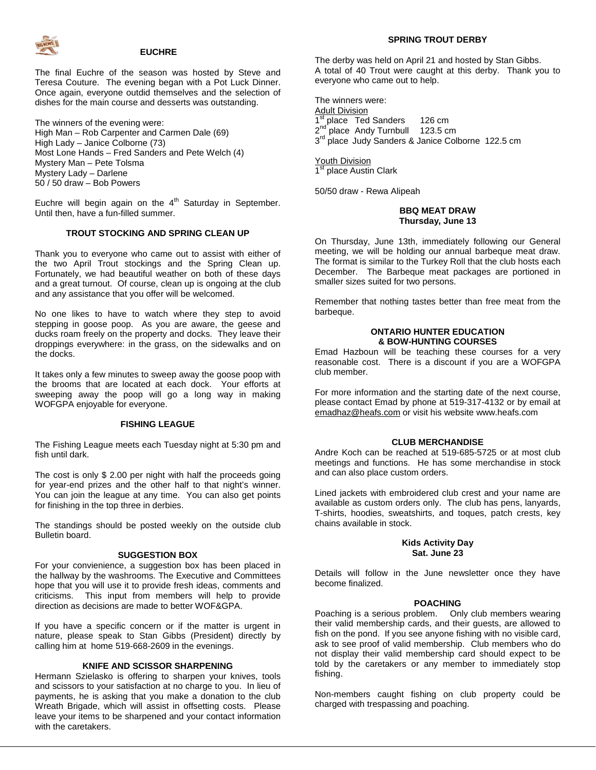

#### **EUCHRE**

The final Euchre of the season was hosted by Steve and Teresa Couture. The evening began with a Pot Luck Dinner. Once again, everyone outdid themselves and the selection of dishes for the main course and desserts was outstanding.

The winners of the evening were: High Man – Rob Carpenter and Carmen Dale (69) High Lady – Janice Colborne (73) Most Lone Hands – Fred Sanders and Pete Welch (4) Mystery Man – Pete Tolsma Mystery Lady – Darlene 50 / 50 draw – Bob Powers

Euchre will begin again on the  $4<sup>th</sup>$  Saturday in September. Until then, have a fun-filled summer.

#### **TROUT STOCKING AND SPRING CLEAN UP**

Thank you to everyone who came out to assist with either of the two April Trout stockings and the Spring Clean up. Fortunately, we had beautiful weather on both of these days and a great turnout. Of course, clean up is ongoing at the club and any assistance that you offer will be welcomed.

No one likes to have to watch where they step to avoid stepping in goose poop. As you are aware, the geese and ducks roam freely on the property and docks. They leave their droppings everywhere: in the grass, on the sidewalks and on the docks.

It takes only a few minutes to sweep away the goose poop with the brooms that are located at each dock. Your efforts at sweeping away the poop will go a long way in making WOFGPA enjoyable for everyone.

#### **FISHING LEAGUE**

The Fishing League meets each Tuesday night at 5:30 pm and fish until dark.

The cost is only \$ 2.00 per night with half the proceeds going for year-end prizes and the other half to that night's winner. You can join the league at any time. You can also get points for finishing in the top three in derbies.

The standings should be posted weekly on the outside club Bulletin board.

#### **SUGGESTION BOX**

For your convienience, a suggestion box has been placed in the hallway by the washrooms. The Executive and Committees hope that you will use it to provide fresh ideas, comments and criticisms. This input from members will help to provide direction as decisions are made to better WOF&GPA.

If you have a specific concern or if the matter is urgent in nature, please speak to Stan Gibbs (President) directly by calling him at home 519-668-2609 in the evenings.

#### **KNIFE AND SCISSOR SHARPENING**

Hermann Szielasko is offering to sharpen your knives, tools and scissors to your satisfaction at no charge to you. In lieu of payments, he is asking that you make a donation to the club Wreath Brigade, which will assist in offsetting costs. Please leave your items to be sharpened and your contact information with the caretakers.

#### **SPRING TROUT DERBY**

The derby was held on April 21 and hosted by Stan Gibbs. A total of 40 Trout were caught at this derby. Thank you to everyone who came out to help.

The winners were: Adult Division  $1^{\text{st}}$  place Ted Sanders 126 cm<br> $2^{\text{nd}}$  place Andy Turnbull 123.5 cm place Andy Turnbull 123.5 cm 3<sup>rd</sup> place Judy Sanders & Janice Colborne 122.5 cm

**Youth Division** 1<sup>st</sup> place Austin Clark

50/50 draw - Rewa Alipeah

#### **BBQ MEAT DRAW Thursday, June 13**

On Thursday, June 13th, immediately following our General meeting, we will be holding our annual barbeque meat draw. The format is similar to the Turkey Roll that the club hosts each December. The Barbeque meat packages are portioned in smaller sizes suited for two persons.

Remember that nothing tastes better than free meat from the barbeque.

#### **ONTARIO HUNTER EDUCATION & BOW-HUNTING COURSES**

Emad Hazboun will be teaching these courses for a very reasonable cost. There is a discount if you are a WOFGPA club member.

For more information and the starting date of the next course, please contact Emad by phone at 519-317-4132 or by email at emadhaz@heafs.com or visit his website www.heafs.com

#### **CLUB MERCHANDISE**

Andre Koch can be reached at 519-685-5725 or at most club meetings and functions. He has some merchandise in stock and can also place custom orders.

Lined jackets with embroidered club crest and your name are available as custom orders only. The club has pens, lanyards, T-shirts, hoodies, sweatshirts, and toques, patch crests, key chains available in stock.

#### **Kids Activity Day Sat. June 23**

Details will follow in the June newsletter once they have become finalized.

#### **POACHING**

Poaching is a serious problem. Only club members wearing their valid membership cards, and their guests, are allowed to fish on the pond. If you see anyone fishing with no visible card, ask to see proof of valid membership. Club members who do not display their valid membership card should expect to be told by the caretakers or any member to immediately stop fishing.

Non-members caught fishing on club property could be charged with trespassing and poaching.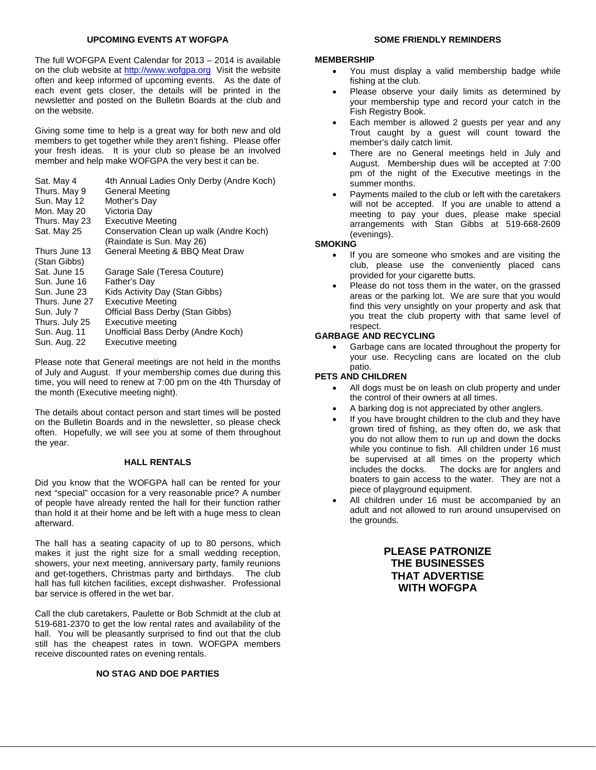# **UPCOMING EVENTS AT WOFGPA**

The full WOFGPA Event Calendar for 2013 – 2014 is available on the club website at [http://www.wofgpa.org](http://www.wofgpa.org/) Visit the website often and keep informed of upcoming events. As the date of each event gets closer, the details will be printed in the newsletter and posted on the Bulletin Boards at the club and on the website.

Giving some time to help is a great way for both new and old members to get together while they aren't fishing. Please offer your fresh ideas. It is your club so please be an involved member and help make WOFGPA the very best it can be.

| Sat. May 4                    | 4th Annual Ladies Only Derby (Andre Koch)                            |
|-------------------------------|----------------------------------------------------------------------|
| Thurs. May 9                  | General Meeting                                                      |
| Sun. May 12                   | Mother's Day                                                         |
| Mon. May 20                   | Victoria Day                                                         |
| Thurs. May 23                 | Executive Meeting                                                    |
| Sat. May 25                   | Conservation Clean up walk (Andre Koch)<br>(Raindate is Sun. May 26) |
| Thurs June 13<br>(Stan Gibbs) | General Meeting & BBQ Meat Draw                                      |
| Sat. June 15                  | Garage Sale (Teresa Couture)                                         |
| Sun. June 16                  | Father's Day                                                         |
| Sun. June 23                  | Kids Activity Day (Stan Gibbs)                                       |
| Thurs. June 27                | Executive Meeting                                                    |
| Sun. July 7                   | Official Bass Derby (Stan Gibbs)                                     |
| Thurs. July 25                | Executive meeting                                                    |
| Sun. Aug. 11                  | Unofficial Bass Derby (Andre Koch)                                   |
| Sun. Aug. 22                  | Executive meeting                                                    |
|                               |                                                                      |

Please note that General meetings are not held in the months of July and August. If your membership comes due during this time, you will need to renew at 7:00 pm on the 4th Thursday of the month (Executive meeting night).

The details about contact person and start times will be posted on the Bulletin Boards and in the newsletter, so please check often. Hopefully, we will see you at some of them throughout the year.

#### **HALL RENTALS**

Did you know that the WOFGPA hall can be rented for your next "special" occasion for a very reasonable price? A number of people have already rented the hall for their function rather than hold it at their home and be left with a huge mess to clean afterward.

The hall has a seating capacity of up to 80 persons, which makes it just the right size for a small wedding reception, showers, your next meeting, anniversary party, family reunions and get-togethers, Christmas party and birthdays. The club hall has full kitchen facilities, except dishwasher. Professional bar service is offered in the wet bar.

Call the club caretakers, Paulette or Bob Schmidt at the club at 519-681-2370 to get the low rental rates and availability of the hall. You will be pleasantly surprised to find out that the club still has the cheapest rates in town. WOFGPA members receive discounted rates on evening rentals.

## **NO STAG AND DOE PARTIES**

# **SOME FRIENDLY REMINDERS**

## **MEMBERSHIP**

- You must display a valid membership badge while fishing at the club.
- Please observe your daily limits as determined by your membership type and record your catch in the Fish Registry Book.
- Each member is allowed 2 guests per year and any Trout caught by a guest will count toward the member's daily catch limit.
- There are no General meetings held in July and August. Membership dues will be accepted at 7:00 pm of the night of the Executive meetings in the summer months.
- Payments mailed to the club or left with the caretakers will not be accepted. If you are unable to attend a meeting to pay your dues, please make special arrangements with Stan Gibbs at 519-668-2609 (evenings).

# **SMOKING**

- If you are someone who smokes and are visiting the club, please use the conveniently placed cans provided for your cigarette butts.
- Please do not toss them in the water, on the grassed areas or the parking lot. We are sure that you would find this very unsightly on your property and ask that you treat the club property with that same level of respect.

#### **GARBAGE AND RECYCLING**

• Garbage cans are located throughout the property for your use. Recycling cans are located on the club patio.

# **PETS AND CHILDREN**

- All dogs must be on leash on club property and under the control of their owners at all times.
- A barking dog is not appreciated by other anglers.
- If you have brought children to the club and they have grown tired of fishing, as they often do, we ask that you do not allow them to run up and down the docks while you continue to fish. All children under 16 must be supervised at all times on the property which<br>includes the docks. The docks are for anglers and The docks are for anglers and boaters to gain access to the water. They are not a piece of playground equipment.
- All children under 16 must be accompanied by an adult and not allowed to run around unsupervised on the grounds.

# **PLEASE PATRONIZE THE BUSINESSES THAT ADVERTISE WITH WOFGPA**